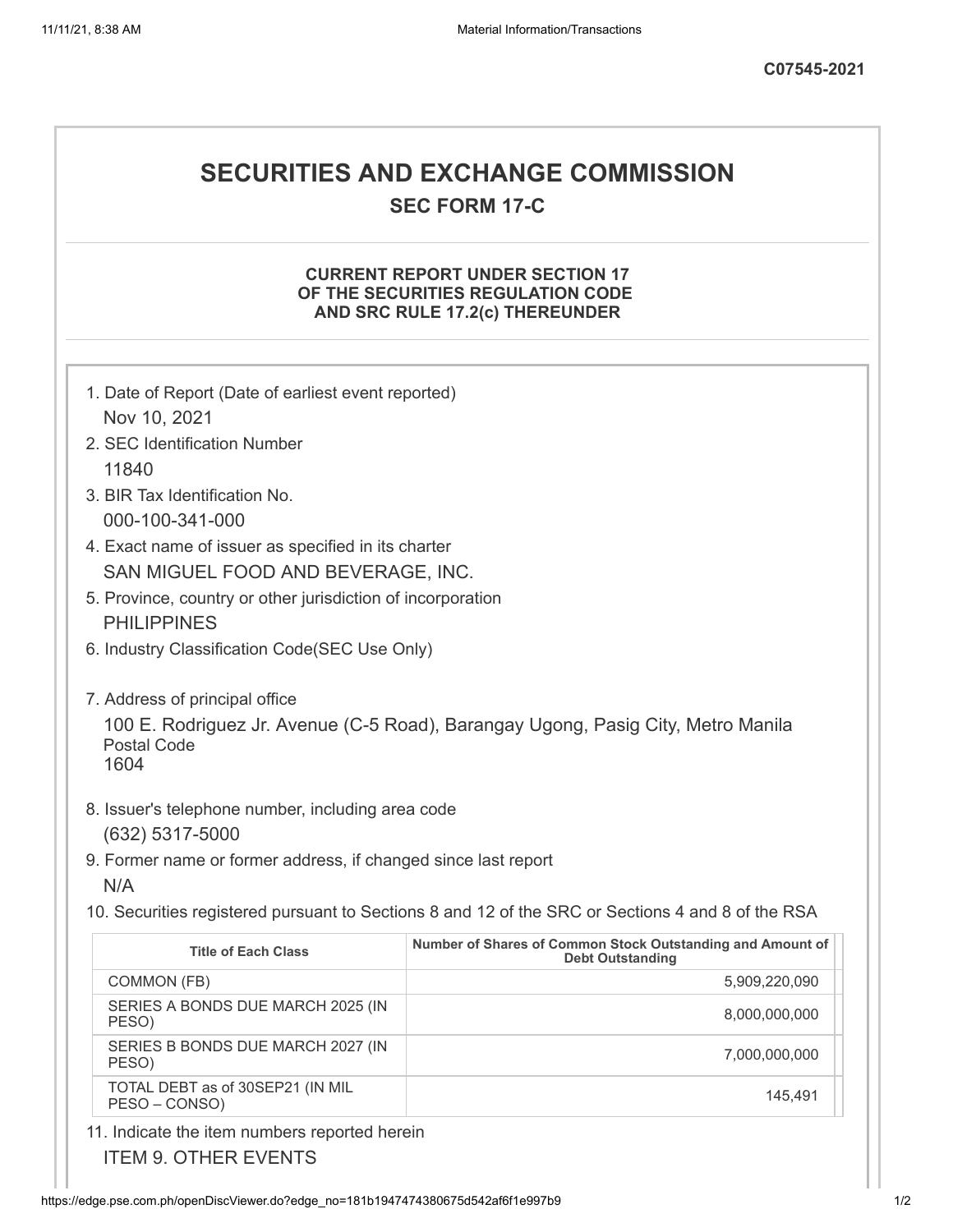## **SECURITIES AND EXCHANGE COMMISSION**

**SEC FORM 17-C**

## **CURRENT REPORT UNDER SECTION 17 OF THE SECURITIES REGULATION CODE AND SRC RULE 17.2(c) THEREUNDER**

| 1. Date of Report (Date of earliest event reported)                                               |                                                                                       |
|---------------------------------------------------------------------------------------------------|---------------------------------------------------------------------------------------|
| Nov 10, 2021                                                                                      |                                                                                       |
| 2. SEC Identification Number                                                                      |                                                                                       |
| 11840                                                                                             |                                                                                       |
| 3. BIR Tax Identification No.                                                                     |                                                                                       |
| 000-100-341-000                                                                                   |                                                                                       |
| 4. Exact name of issuer as specified in its charter                                               |                                                                                       |
| SAN MIGUEL FOOD AND BEVERAGE, INC.                                                                |                                                                                       |
| 5. Province, country or other jurisdiction of incorporation                                       |                                                                                       |
| <b>PHILIPPINES</b>                                                                                |                                                                                       |
| 6. Industry Classification Code(SEC Use Only)                                                     |                                                                                       |
|                                                                                                   |                                                                                       |
| 7. Address of principal office                                                                    |                                                                                       |
| 100 E. Rodriguez Jr. Avenue (C-5 Road), Barangay Ugong, Pasig City, Metro Manila                  |                                                                                       |
| <b>Postal Code</b>                                                                                |                                                                                       |
| 1604                                                                                              |                                                                                       |
| 8. Issuer's telephone number, including area code                                                 |                                                                                       |
| (632) 5317-5000                                                                                   |                                                                                       |
| 9. Former name or former address, if changed since last report                                    |                                                                                       |
| N/A                                                                                               |                                                                                       |
| 10. Securities registered pursuant to Sections 8 and 12 of the SRC or Sections 4 and 8 of the RSA |                                                                                       |
|                                                                                                   |                                                                                       |
| <b>Title of Each Class</b>                                                                        | Number of Shares of Common Stock Outstanding and Amount of<br><b>Debt Outstanding</b> |
| COMMON (FB)                                                                                       | 5,909,220,090                                                                         |
| SERIES A BONDS DUE MARCH 2025 (IN<br>PESO)                                                        | 8,000,000,000                                                                         |
| SERIES B BONDS DUE MARCH 2027 (IN<br>PESO)                                                        | 7,000,000,000                                                                         |
| TOTAL DEBT as of 30SEP21 (IN MIL<br>PESO - CONSO)                                                 | 145,491                                                                               |
| 11. Indicate the item numbers reported herein                                                     |                                                                                       |

ITEM 9. OTHER EVENTS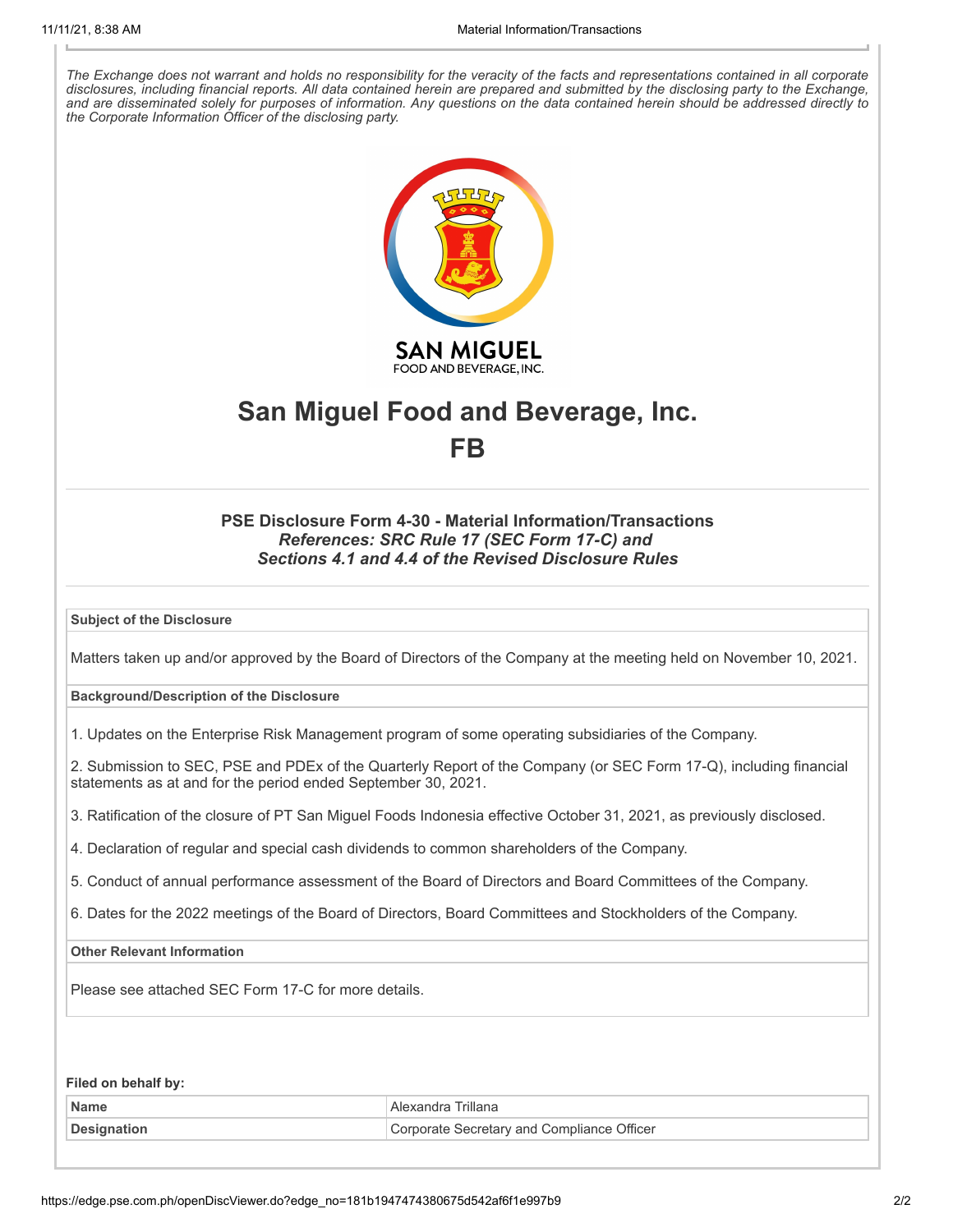